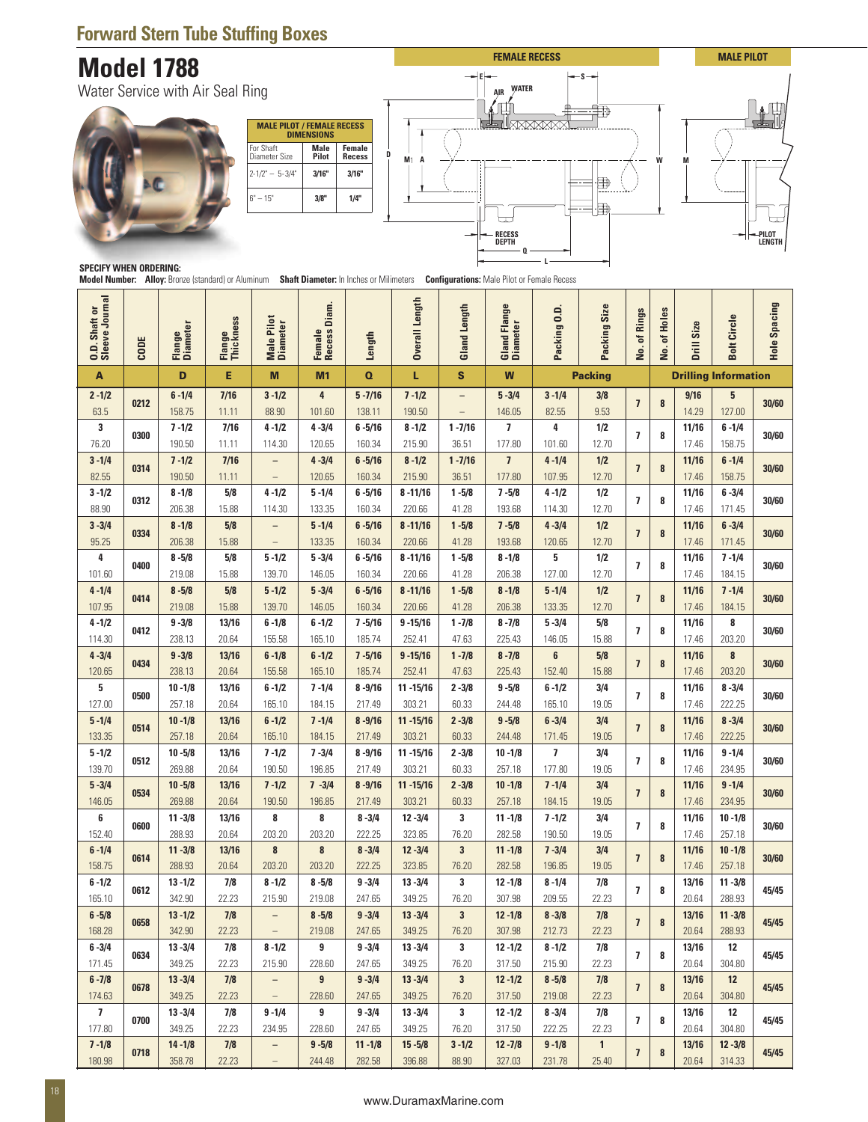### **Forward Stern Tube Stuffing Boxes**

## **Model 1788**





#### **SPECIFY WHEN ORDERING:**

|                                  |             | <b>Model 1788</b>         |                            |                                                                                                   |                                                                |                             |                        |                       | <b>FEMALE RECESS</b>                               |                     |                       |                         |          |                | <b>MALE PILOT</b>                |                 |
|----------------------------------|-------------|---------------------------|----------------------------|---------------------------------------------------------------------------------------------------|----------------------------------------------------------------|-----------------------------|------------------------|-----------------------|----------------------------------------------------|---------------------|-----------------------|-------------------------|----------|----------------|----------------------------------|-----------------|
| Water Service with Air Seal Ring |             |                           |                            |                                                                                                   |                                                                |                             |                        |                       | <b>WATER</b><br><b>AIR</b>                         |                     | ₩                     |                         |          |                |                                  |                 |
|                                  |             |                           |                            | For Shaft                                                                                         | <b>MALE PILOT / FEMALE RECESS</b><br><b>DIMENSIONS</b><br>Male | Female                      |                        |                       |                                                    |                     |                       |                         |          |                |                                  |                 |
|                                  |             |                           |                            | Diameter Size<br>$2 - 1/2" - 5 - 3/4"$                                                            | Pilot<br>3/16"                                                 | D<br><b>Recess</b><br>3/16" | M <sub>1</sub><br>A    |                       |                                                    |                     | 申                     |                         |          |                |                                  |                 |
|                                  |             |                           |                            | $6" - 15"$                                                                                        | 3/8"                                                           | 1/4"                        |                        |                       |                                                    |                     |                       |                         |          |                |                                  |                 |
|                                  |             |                           |                            |                                                                                                   |                                                                |                             |                        |                       | RECESS<br>Depth                                    |                     |                       |                         |          |                |                                  | PILOT<br>LENGTH |
| <b>SPECIFY WHEN ORDERING:</b>    |             |                           |                            | <b>Model Number:</b> Alloy: Bronze (standard) or Aluminum Shaft Diameter: In Inches or Milimeters |                                                                |                             |                        |                       | <b>Configurations:</b> Male Pilot or Female Recess |                     |                       |                         |          |                |                                  |                 |
| Sleeve Journal<br>Shaft or       |             |                           |                            |                                                                                                   | Female<br>Recess Diam.                                         |                             | Overall Length         |                       |                                                    |                     |                       | of Rings                | of Holes |                |                                  | Hole Spacing    |
| $\ddot{0}$ .                     | <b>CODE</b> | <b>Diameter</b><br>Flange | <b>Thickness</b><br>Flange | Male Pilot<br>Diameter                                                                            |                                                                | Length                      |                        | <b>Gland Length</b>   | <b>Gland Flange</b><br>Diameter                    | Packing 0.D         | Packing Size          | ₫.                      | å.       | Drill Size     | <b>Bolt Circle</b>               |                 |
| A<br>$2 - 1/2$                   |             | D<br>$6 - 1/4$            | E<br>7/16                  | M<br>$3 - 1/2$                                                                                    | M <sub>1</sub><br>4                                            | $\Omega$<br>$5 - 7/16$      | L<br>$7 - 1/2$         | S                     | W<br>$5 - 3/4$                                     | $3 - 1/4$           | <b>Packing</b><br>3/8 |                         |          | 9/16           | <b>Drilling Information</b><br>5 |                 |
| 63.5                             | 0212        | 158.75                    | 11.11                      | 88.90                                                                                             | 101.60                                                         | 138.11                      | 190.50                 |                       | 146.05                                             | 82.55               | 9.53                  | $\overline{\mathbf{z}}$ | 8        | 14.29          | 127.00                           | 30/60           |
| 3<br>76.20                       | 0300        | $7 - 1/2$<br>190.50       | 7/16<br>11.11              | $4 - 1/2$<br>114.30                                                                               | $4 - 3/4$<br>120.65                                            | $6 - 5/16$<br>160.34        | $8 - 1/2$<br>215.90    | $1 - 7/16$<br>36.51   | 7<br>177.80                                        | 4<br>101.60         | 1/2<br>12.70          | $\overline{7}$          | 8        | 11/16<br>17.46 | $6 - 1/4$<br>158.75              | 30/60           |
| $3 - 1/4$<br>82.55               | 0314        | $7 - 1/2$<br>190.50       | 7/16<br>11.11              | $\qquad \qquad -$<br>$\qquad \qquad -$                                                            | $4 - 3/4$<br>120.65                                            | $6 - 5/16$<br>160.34        | $8 - 1/2$<br>215.90    | $1 - 7/16$<br>36.51   | $\overline{1}$<br>177.80                           | $4 - 1/4$<br>107.95 | 1/2<br>12.70          | $\overline{7}$          | 8        | 11/16<br>17.46 | $6 - 1/4$<br>158.75              | 30/60           |
| $3 - 1/2$                        | 0312        | $8 - 1/8$                 | 5/8                        | $4 - 1/2$                                                                                         | $5 - 1/4$                                                      | $6 - 5/16$                  | $8 - 11/16$            | $1 - 5/8$             | $7 - 5/8$                                          | $4 - 1/2$           | 1/2                   | $\overline{\mathbf{z}}$ | 8        | 11/16          | $6 - 3/4$                        | 30/60           |
| 88.90<br>$3 - 3/4$               | 0334        | 206.38<br>$8 - 1/8$       | 15.88<br>$5/8$             | 114.30                                                                                            | 133.35<br>$5 - 1/4$                                            | 160.34<br>$6 - 5/16$        | 220.66<br>$8 - 11/16$  | 41.28<br>$1 - 5/8$    | 193.68<br>$7 - 5/8$                                | 114.30<br>$4 - 3/4$ | 12.70<br>$1/2$        | $\overline{1}$          | 8        | 17.46<br>11/16 | 171.45<br>$6 - 3/4$              | 30/60           |
| 95.25<br>4                       |             | 206.38<br>$8 - 5/8$       | 15.88<br>5/8               | $\qquad \qquad -$<br>$5 - 1/2$                                                                    | 133.35<br>$5 - 3/4$                                            | 160.34<br>$6 - 5/16$        | 220.66<br>$8 - 11/16$  | 41.28<br>$1 - 5/8$    | 193.68<br>$8 - 1/8$                                | 120.65<br>5         | 12.70<br>1/2          |                         |          | 17.46<br>11/16 | 171.45<br>$7 - 1/4$              |                 |
| 101.60<br>$4 - 1/4$              | 0400        | 219.08<br>$8 - 5/8$       | 15.88<br>$5/8$             | 139.70<br>$5 - 1/2$                                                                               | 146.05<br>$5 - 3/4$                                            | 160.34<br>$6 - 5/16$        | 220.66<br>$8 - 11/16$  | 41.28<br>$1 - 5/8$    | 206.38<br>$8 - 1/8$                                | 127.00<br>$5 - 1/4$ | 12.70<br>$1/2$        | $\overline{1}$          | 8        | 17.46<br>11/16 | 184.15<br>$7 - 1/4$              | 30/60           |
| 107.95                           | 0414        | 219.08                    | 15.88                      | 139.70                                                                                            | 146.05                                                         | 160.34                      | 220.66                 | 41.28                 | 206.38                                             | 133.35              | 12.70                 | $\overline{1}$          | 8        | 17.46          | 184.15                           | 30/60           |
| $4 - 1/2$<br>114.30              | 0412        | $9 - 3/8$<br>238.13       | 13/16<br>20.64             | $6 - 1/8$<br>155.58                                                                               | $6 - 1/2$<br>165.10                                            | $7 - 5/16$<br>185.74        | $9 - 15/16$<br>252.41  | $1 - 7/8$<br>47.63    | $8 - 7/8$<br>225.43                                | $5 - 3/4$<br>146.05 | $5/8$<br>15.88        | $\overline{7}$          | 8        | 11/16<br>17.46 | 8<br>203.20                      | 30/60           |
| $4 - 3/4$<br>120.65              | 0434        | $9 - 3/8$<br>238.13       | 13/16<br>20.64             | $6 - 1/8$<br>155.58                                                                               | $6 - 1/2$<br>165.10                                            | $7 - 5/16$<br>185.74        | $9 - 15/16$<br>252.41  | $1 - 7/8$<br>47.63    | $8 - 7/8$<br>225.43                                | 6<br>152.40         | $5/8$<br>15.88        | $\overline{7}$          | 8        | 11/16<br>17.46 | $\pmb{8}$<br>203.20              | 30/60           |
| 5<br>127.00                      | 0500        | $10 - 1/8$<br>257.18      | 13/16<br>20.64             | $6 - 1/2$<br>165.10                                                                               | $7 - 1/4$<br>184.15                                            | $8 - 9/16$<br>217.49        | $11 - 15/16$<br>303.21 | $2 - 3/8$<br>60.33    | $9 - 5/8$<br>244.48                                | $6 - 1/2$<br>165.10 | 3/4<br>19.05          | $\overline{1}$          | 8        | 11/16<br>17.46 | $8 - 3/4$<br>222.25              | 30/60           |
| $5 - 1/4$                        | 0514        | $10 - 1/8$                | 13/16                      | $6 - 1/2$                                                                                         | $7 - 1/4$                                                      | $8 - 9/16$                  | $11 - 15/16$           | $2 - 3/8$             | $9 - 5/8$                                          | $6 - 3/4$           | 3/4                   | $\overline{\mathbf{z}}$ | 8        | 11/16          | $8 - 3/4$                        | 30/60           |
| 133.35<br>$5 - 1/2$              | 0512        | 257.18<br>$10 - 5/8$      | 20.64<br>13/16             | 165.10<br>$7 - 1/2$                                                                               | 184.15<br>$7 - 3/4$                                            | 217.49<br>$8 - 9/16$        | 303.21<br>$11 - 15/16$ | 60.33<br>$2 - 3/8$    | 244.48<br>$10 - 1/8$                               | 171.45<br>7         | 19.05<br>3/4          | $\overline{1}$          | 8        | 17.46<br>11/16 | 222.25<br>$9 - 1/4$              | 30/60           |
| 139.70<br>$5 - 3/4$              |             | 269.88<br>$10 - 5/8$      | 20.64<br>13/16             | 190.50<br>$7 - 1/2$                                                                               | 196.85<br>$7 - 3/4$                                            | 217.49<br>$8 - 9/16$        | 303.21<br>$11 - 15/16$ | 60.33<br>$2 - 3/8$    | 257.18<br>$10 - 1/8$                               | 177.80<br>$7 - 1/4$ | 19.05<br>3/4          |                         |          | 17.46<br>11/16 | 234.95<br>$9 - 1/4$              |                 |
| 146.05                           | 0534        | 269.88                    | 20.64                      | 190.50                                                                                            | 196.85                                                         | 217.49                      | 303.21                 | 60.33                 | 257.18                                             | 184.15              | 19.05                 | $\overline{1}$          | 8        | 17.46          | 234.95                           | 30/60           |
| 6<br>152.40                      | 0600        | $11 - 3/8$<br>288.93      | 13/16<br>20.64             | 8<br>203.20                                                                                       | 8<br>203.20                                                    | $8 - 3/4$<br>222.25         | $12 - 3/4$<br>323.85   | 3<br>76.20            | $11 - 1/8$<br>282.58                               | $7 - 1/2$<br>190.50 | 3/4<br>19.05          | $\overline{\mathbf{z}}$ | 8        | 11/16<br>17.46 | $10 - 1/8$<br>257.18             | 30/60           |
| $6 - 1/4$<br>158.75              | 0614        | $11 - 3/8$<br>288.93      | 13/16<br>20.64             | 8<br>203.20                                                                                       | 8<br>203.20                                                    | $8 - 3/4$<br>222.25         | $12 - 3/4$<br>323.85   | $\mathbf{3}$<br>76.20 | $11 - 1/8$<br>282.58                               | $7 - 3/4$<br>196.85 | 3/4<br>19.05          | $\overline{1}$          | 8        | 11/16<br>17.46 | $10 - 1/8$<br>257.18             | 30/60           |
| $6 - 1/2$<br>165.10              | 0612        | $13 - 1/2$<br>342.90      | $7/8$<br>22.23             | $8 - 1/2$<br>215.90                                                                               | $8 - 5/8$<br>219.08                                            | $9 - 3/4$<br>247.65         | $13 - 3/4$<br>349.25   | 3<br>76.20            | $12 - 1/8$<br>307.98                               | $8 - 1/4$<br>209.55 | $7/8$<br>22.23        | $\overline{\mathbf{z}}$ | 8        | 13/16<br>20.64 | $11 - 3/8$<br>288.93             | 45/45           |
| $6 - 5/8$                        | 0658        | $13 - 1/2$                | 7/8                        | -                                                                                                 | $8 - 5/8$                                                      | $9 - 3/4$                   | $13 - 3/4$             | 3                     | $12 - 1/8$                                         | $8 - 3/8$           | 7/8                   | $\overline{1}$          | 8        | 13/16          | $11 - 3/8$                       | 45/45           |
| 168.28<br>$6 - 3/4$              | 0634        | 342.90<br>$13 - 3/4$      | 22.23<br>7/8               | $8 - 1/2$                                                                                         | 219.08<br>9                                                    | 247.65<br>$9 - 3/4$         | 349.25<br>$13 - 3/4$   | 76.20<br>3            | 307.98<br>$12 - 1/2$                               | 212.73<br>$8 - 1/2$ | 22.23<br>$7/8$        | $\overline{\mathbf{z}}$ | 8        | 20.64<br>13/16 | 288.93<br>12                     | 45/45           |
| 171.45<br>$6 - 7/8$              |             | 349.25<br>$13 - 3/4$      | 22.23<br>$7/8$             | 215.90                                                                                            | 228.60<br>$\overline{9}$                                       | 247.65<br>$9 - 3/4$         | 349.25<br>$13 - 3/4$   | 76.20<br>3            | 317.50<br>$12 - 1/2$                               | 215.90<br>$8 - 5/8$ | 22.23<br>7/8          |                         |          | 20.64<br>13/16 | 304.80<br>12                     |                 |
| 174.63<br>$\overline{1}$         | 0678        | 349.25<br>$13 - 3/4$      | 22.23<br>7/8               | $9 - 1/4$                                                                                         | 228.60<br>9                                                    | 247.65<br>$9 - 3/4$         | 349.25<br>$13 - 3/4$   | 76.20<br>3            | 317.50<br>$12 - 1/2$                               | 219.08<br>$8 - 3/4$ | 22.23<br>$7/8$        | $\overline{\mathbf{z}}$ | 8        | 20.64<br>13/16 | 304.80<br>12                     | 45/45           |
|                                  | 0700        | 349.25                    | 22.23<br>7/8               | 234.95<br>-                                                                                       | 228.60<br>$9 - 5/8$                                            | 247.65<br>$11 - 1/8$        | 349.25<br>$15 - 5/8$   | 76.20<br>$3 - 1/2$    | 317.50<br>$12 - 7/8$                               | 222.25<br>$9 - 1/8$ | 22.23<br>$\mathbf{1}$ | $\overline{7}$          | 8        | 20.64<br>13/16 | 304.80<br>$12 - 3/8$             | 45/45           |
| 177.80<br>$7 - 1/8$              |             | $14 - 1/8$                |                            |                                                                                                   |                                                                |                             |                        |                       |                                                    |                     |                       |                         | 8        |                |                                  |                 |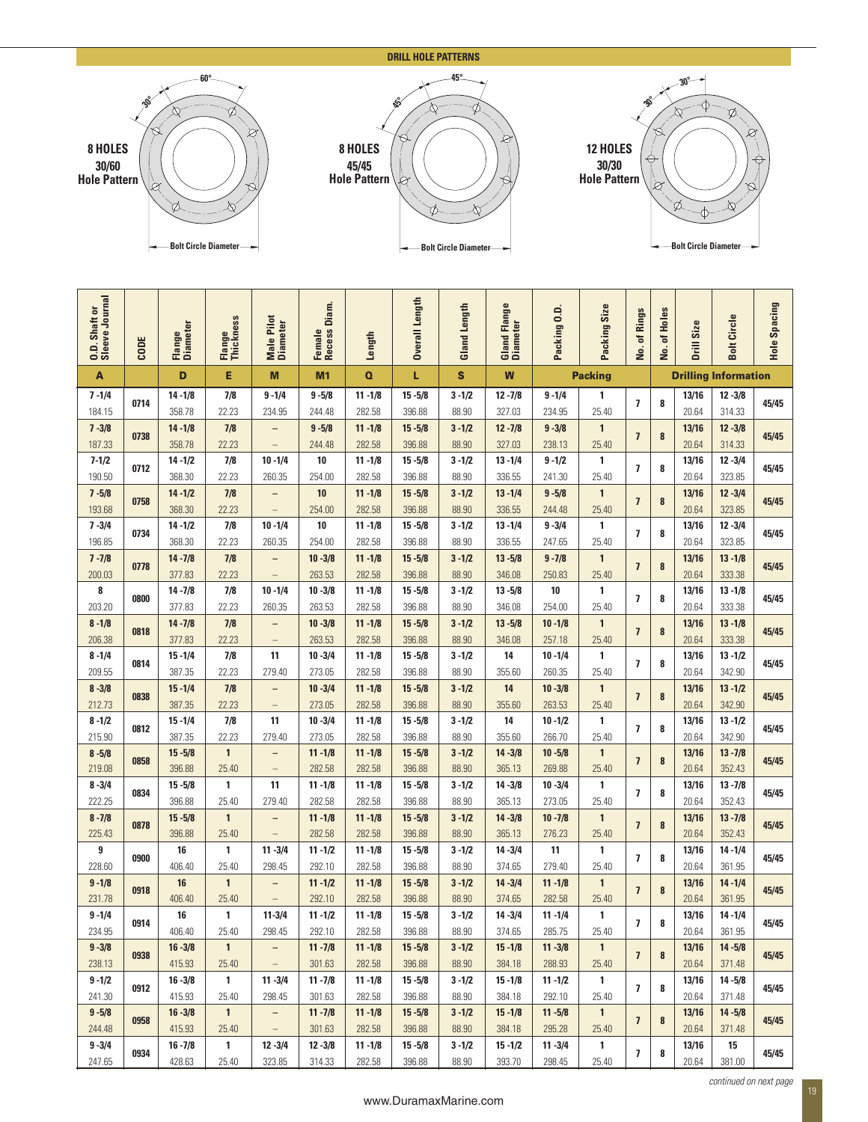|                              |              |                             | 60°                   |                                               |                                          |                              |                         | <b>DRILL HOLE PATTERNS</b>  |                      |                                             |                       |                          |           |                             |                             |            |  |  |
|------------------------------|--------------|-----------------------------|-----------------------|-----------------------------------------------|------------------------------------------|------------------------------|-------------------------|-----------------------------|----------------------|---------------------------------------------|-----------------------|--------------------------|-----------|-----------------------------|-----------------------------|------------|--|--|
|                              |              |                             | Ø                     |                                               |                                          |                              |                         |                             |                      |                                             | 30°                   |                          |           |                             |                             |            |  |  |
| 8 HOLES                      | Q            |                             |                       |                                               |                                          | 8 HOLES                      | Ø<br>O<br>Ø<br>12 HOLES |                             |                      |                                             |                       |                          |           |                             |                             |            |  |  |
| 30/60<br><b>Hole Pattern</b> |              |                             |                       |                                               |                                          | 45/45<br><b>Hole Pattern</b> | Q                       |                             |                      | ⊕<br>€<br>30/30<br><b>Hole Pattern</b><br>Ò |                       |                          |           |                             |                             |            |  |  |
|                              | Ø            |                             |                       |                                               |                                          |                              |                         |                             |                      |                                             |                       |                          |           | Ø                           |                             |            |  |  |
|                              |              | <b>Bolt Circle Diameter</b> |                       |                                               |                                          |                              |                         | <b>Bolt Circle Diameter</b> |                      |                                             |                       |                          |           | <b>Bolt Circle Diameter</b> |                             |            |  |  |
|                              |              |                             |                       |                                               |                                          |                              |                         |                             |                      |                                             |                       |                          |           |                             |                             |            |  |  |
| Journal<br>haft or           |              | ter                         | ness                  | Pilot<br>ster                                 | Diam.                                    |                              | Length                  | Length                      | Flange<br>ter        | ≘<br>ö<br>Ξ                                 | Size<br>Ξ             | Rings                    | Holes     | ize                         | Circle                      | pacing     |  |  |
| 0.D. Sha                     | CODE         | Flange<br>Diame             | Flange<br>Thickn      | Male F<br>Diame                               | $\omega$<br>$\bullet$<br>Femal<br>Reces: | Length                       | <b>Overall</b>          | Gland                       | Gland<br>Diame       | Packir                                      | Packir                | ቴ<br>ρ.                  | đ<br>ρġ.  | ဟ<br>Drill                  | <b>Bolt</b>                 | n<br>Hole: |  |  |
| $\mathbf{A}$                 |              | D                           | Е                     | M                                             | M1                                       | $\mathbf o$                  | L                       | $\mathbf{s}$                | W                    |                                             | <b>Packing</b>        |                          |           |                             | <b>Drilling Information</b> |            |  |  |
| $7 - 1/4$<br>184.15          | 0714         | $14 - 1/8$<br>358.78        | 7/8<br>22.23          | $9 - 1/4$<br>234.95                           | $9 - 5/8$<br>244.48                      | $11 - 1/8$<br>282.58         | $15 - 5/8$<br>396.88    | $3 - 1/2$<br>88.90          | $12 - 7/8$<br>327.03 | $9 - 1/4$<br>234.95                         | 1<br>25.40            | $\overline{1}$           | 8         | 13/16<br>20.64              | $12 - 3/8$<br>314.33        | 45/45      |  |  |
| $7 - 3/8$<br>187.33          | 0738         | $14 - 1/8$<br>358.78        | 7/8<br>22.23          | -<br>$\equiv$                                 | $9 - 5/8$<br>244.48                      | $11 - 1/8$<br>282.58         | $15 - 5/8$<br>396.88    | $3 - 1/2$<br>88.90          | $12 - 7/8$<br>327.03 | $9 - 3/8$<br>238.13                         | $\mathbf{1}$<br>25.40 | $\overline{7}$           | $\bf{8}$  | 13/16<br>20.64              | $12 - 3/8$<br>314.33        | 45/45      |  |  |
| $7 - 1/2$<br>190.50          | 0712         | $14 - 1/2$<br>368.30        | 7/8<br>22.23          | $10 - 1/4$<br>260.35                          | $10\,$<br>254.00                         | $11 - 1/8$<br>282.58         | $15 - 5/8$<br>396.88    | $3 - 1/2$<br>88.90          | $13 - 1/4$<br>336.55 | $9 - 1/2$<br>241.30                         | $\mathbf{1}$<br>25.40 | $\overline{7}$           | 8         | 13/16<br>20.64              | $12 - 3/4$<br>323.85        | 45/45      |  |  |
| $7 - 5/8$<br>193.68          | 0758         | $14 - 1/2$<br>368.30        | 7/8<br>22.23          | $\overline{\phantom{0}}$                      | 10<br>254.00                             | $11 - 1/8$<br>282.58         | $15 - 5/8$<br>396.88    | $3 - 1/2$<br>88.90          | $13 - 1/4$<br>336.55 | $9 - 5/8$<br>244.48                         | $\mathbf{1}$<br>25.40 | $\overline{\mathbf{z}}$  | $\pmb{8}$ | 13/16<br>20.64              | $12 - 3/4$<br>323.85        | 45/45      |  |  |
| $7 - 3/4$                    | 0734         | $14 - 1/2$                  | 7/8                   | $\qquad \qquad -$<br>$10 - 1/4$               | 10                                       | $11 - 1/8$                   | $15 - 5/8$              | $3 - 1/2$                   | $13 - 1/4$           | $9 - 3/4$                                   | 1                     | $\overline{1}$           | 8         | 13/16                       | $12 - 3/4$                  | 45/45      |  |  |
| 196.85<br>$7 - 7/8$          | 0778         | 368.30<br>$14 - 7/8$        | 22.23<br>7/8          | 260.35<br>$\qquad \qquad -$                   | 254.00<br>$10 - 3/8$                     | 282.58<br>$11 - 1/8$         | 396.88<br>$15 - 5/8$    | 88.90<br>$3 - 1/2$          | 336.55<br>$13 - 5/8$ | 247.65<br>$9 - 7/8$                         | 25.40<br>$\mathbf{1}$ | $\overline{7}$           | 8         | 20.64<br>13/16              | 323.85<br>$13 - 1/8$        | 45/45      |  |  |
| 200.03<br>8                  |              | 377.83<br>$14 - 7/8$        | 22.23<br>7/8          | $\overline{\phantom{0}}$<br>$10 - 1/4$        | 263.53<br>$10 - 3/8$                     | 282.58<br>$11 - 1/8$         | 396.88<br>$15 - 5/8$    | 88.90<br>$3 - 1/2$          | 346.08<br>$13 - 5/8$ | 250.83<br>10                                | 25.40<br>1            |                          | 8         | 20.64<br>13/16              | 333.38<br>$13 - 1/8$        |            |  |  |
| 203.20<br>$8 - 1/8$          | 0800         | 377.83<br>$14 - 7/8$        | 22.23<br>7/8          | 260.35<br>$\qquad \qquad -$                   | 263.53<br>$10 - 3/8$                     | 282.58<br>$11 - 1/8$         | 396.88<br>$15 - 5/8$    | 88.90<br>$3 - 1/2$          | 346.08<br>$13 - 5/8$ | 254.00<br>$10 - 1/8$                        | 25.40<br>$\mathbf{1}$ | $\overline{\phantom{a}}$ |           | 20.64<br>13/16              | 333.38<br>$13 - 1/8$        | 45/45      |  |  |
| 206.38<br>$8 - 1/4$          | 0818         | 377.83<br>$15 - 1/4$        | 22.23<br>7/8          | $\overline{\phantom{a}}$<br>11                | 263.53<br>$10 - 3/4$                     | 282.58<br>$11 - 1/8$         | 396.88<br>$15 - 5/8$    | 88.90<br>$3 - 1/2$          | 346.08<br>14         | 257.18<br>$10 - 1/4$                        | 25.40<br>$\mathbf{1}$ | $\overline{\mathbf{z}}$  | $\pmb{8}$ | 20.64<br>13/16              | 333.38<br>$13 - 1/2$        | 45/45      |  |  |
| 209.55                       | 0814         | 387.35                      | 22.23                 | 279.40                                        | 273.05                                   | 282.58                       | 396.88                  | 88.90                       | 355.60               | 260.35                                      | 25.40                 | $\overline{1}$           | 8         | 20.64                       | 342.90                      | 45/45      |  |  |
| $8 - 3/8$<br>212.73          | 0838         | $15 - 1/4$<br>387.35        | 7/8<br>22.23          | $\qquad \qquad -$<br>$\qquad \qquad -$        | $10 - 3/4$<br>273.05                     | $11 - 1/8$<br>282.58         | $15 - 5/8$<br>396.88    | $3 - 1/2$<br>88.90          | 14<br>355.60         | $10 - 3/8$<br>263.53                        | $\mathbf{1}$<br>25.40 | $\overline{\mathbf{z}}$  | $\pmb{8}$ | 13/16<br>20.64              | $13 - 1/2$<br>342.90        | 45/45      |  |  |
| $8 - 1/2$<br>215.90          | 0812         | $15 - 1/4$<br>387.35        | 7/8<br>22.23          | 11<br>279.40                                  | $10 - 3/4$<br>273.05                     | $11 - 1/8$<br>282.58         | $15 - 5/8$<br>396.88    | $3 - 1/2$<br>88.90          | 14<br>355.60         | $10 - 1/2$<br>266.70                        | 1<br>25.40            | $\overline{\phantom{a}}$ | 8         | 13/16<br>20.64              | $13 - 1/2$<br>342.90        | 45/45      |  |  |
| $8 - 5/8$<br>219.08          | 0858         | $15 - 5/8$<br>396.88        | $\mathbf{1}$<br>25.40 | $\overline{\phantom{a}}$<br>$\qquad \qquad -$ | $11 - 1/8$<br>282.58                     | $11 - 1/8$<br>282.58         | $15 - 5/8$<br>396.88    | $3 - 1/2$<br>88.90          | $14 - 3/8$<br>365.13 | $10 - 5/8$<br>269.88                        | $\mathbf{1}$<br>25.40 | $\overline{7}$           | 8         | 13/16<br>20.64              | $13 - 7/8$<br>352.43        | 45/45      |  |  |
| $8 - 3/4$<br>222.25          | 0834         | $15 - 5/8$<br>396.88        | $\mathbf{1}$<br>25.40 | 11<br>279.40                                  | $11 - 1/8$<br>282.58                     | $11 - 1/8$<br>282.58         | $15 - 5/8$<br>396.88    | $3 - 1/2$<br>88.90          | $14 - 3/8$<br>365.13 | $10 - 3/4$<br>273.05                        | $\mathbf{1}$<br>25.40 | $\overline{7}$           | 8         | 13/16<br>20.64              | $13 - 7/8$<br>352.43        | 45/45      |  |  |
| $8 - 7/8$<br>225.43          | 0878         | $15 - 5/8$<br>396.88        | $\mathbf{1}$<br>25.40 | $\qquad \qquad -$<br>$\qquad \qquad -$        | $11 - 1/8$<br>282.58                     | $11 - 1/8$<br>282.58         | $15 - 5/8$<br>396.88    | $3 - 1/2$<br>88.90          | $14 - 3/8$<br>365.13 | $10 - 7/8$<br>276.23                        | $\mathbf{1}$<br>25.40 | $\overline{\mathbf{z}}$  | $\pmb{8}$ | 13/16<br>20.64              | $13 - 7/8$<br>352.43        | 45/45      |  |  |
| 9<br>228.60                  | 0900         | 16<br>406.40                | $\mathbf{1}$<br>25.40 | $11 - 3/4$<br>298.45                          | $11 - 1/2$<br>292.10                     | $11 - 1/8$<br>282.58         | $15 - 5/8$<br>396.88    | $3 - 1/2$<br>88.90          | $14 - 3/4$<br>374.65 | 11<br>279.40                                | $\mathbf{1}$<br>25.40 | $\overline{\phantom{a}}$ | 8         | 13/16<br>20.64              | $14 - 1/4$<br>361.95        | 45/45      |  |  |
| $9 - 1/8$<br>231.78          | 0918         | 16<br>406.40                | $\mathbf{1}$<br>25.40 | -<br>$\overline{\phantom{0}}$                 | $11 - 1/2$<br>292.10                     | $11 - 1/8$<br>282.58         | $15 - 5/8$<br>396.88    | $3 - 1/2$<br>88.90          | $14 - 3/4$<br>374.65 | $11 - 1/8$<br>282.58                        | $\mathbf{1}$<br>25.40 | $\overline{1}$           | 8         | 13/16<br>20.64              | $14 - 1/4$<br>361.95        | 45/45      |  |  |
| $9 - 1/4$                    | 0914         | 16                          | $\mathbf{1}$          | $11 - 3/4$                                    | $11 - 1/2$                               | $11 - 1/8$                   | $15 - 5/8$              | $3 - 1/2$                   | $14 - 3/4$           | $11 - 1/4$                                  | 1                     | $\overline{7}$           | 8         | 13/16                       | $14 - 1/4$                  | 45/45      |  |  |
| 234.95<br>$9 - 3/8$          | 0938         | 406.40<br>$16 - 3/8$        | 25.40<br>$\mathbf{1}$ | 298.45<br>$\overline{\phantom{0}}$            | 292.10<br>$11 - 7/8$                     | 282.58<br>$11 - 1/8$         | 396.88<br>$15 - 5/8$    | 88.90<br>$3 - 1/2$          | 374.65<br>$15 - 1/8$ | 285.75<br>$11 - 3/8$                        | 25.40<br>$\mathbf{1}$ | $\overline{7}$           | 8         | 20.64<br>13/16              | 361.95<br>$14 - 5/8$        | 45/45      |  |  |
|                              | 0912         | 415.93<br>$16 - 3/8$        | 25.40<br>$\mathbf{1}$ | $\qquad \qquad -$<br>$11 - 3/4$               | 301.63<br>$11 - 7/8$                     | 282.58<br>$11 - 1/8$         | 396.88<br>$15 - 5/8$    | 88.90<br>$3 - 1/2$          | 384.18<br>$15 - 1/8$ | 288.93<br>$11 - 1/2$                        | 25.40<br>$\mathbf{1}$ | $\overline{\mathbf{z}}$  | 8         | 20.64<br>13/16              | 371.48<br>$14 - 5/8$        | 45/45      |  |  |
| 238.13<br>$9 - 1/2$          |              | 415.93                      | 25.40                 | 298.45<br>$\overline{\phantom{0}}$            | 301.63<br>$11 - 7/8$                     | 282.58<br>$11 - 1/8$         | 396.88<br>$15 - 5/8$    | 88.90<br>$3 - 1/2$          | 384.18<br>$15 - 1/8$ | 292.10<br>$11 - 5/8$                        | 25.40<br>$\mathbf{1}$ |                          |           | 20.64<br>13/16              | 371.48<br>$14 - 5/8$        |            |  |  |
| 241.30<br>$9 - 5/8$          |              | $16 - 3/8$                  | $\mathbf{1}$          |                                               |                                          |                              |                         | 88.90                       | 384.18               | 295.28                                      | 25.40                 | $\overline{1}$           | 8         | 20.64                       | 371.48                      | 45/45      |  |  |
| 244.48<br>$9 - 3/4$          | 0958<br>0934 | 415.93<br>$16 - 7/8$        | 25.40<br>$\mathbf{1}$ | $\equiv$<br>$12 - 3/4$                        | 301.63<br>$12 - 3/8$                     | 282.58<br>$11 - 1/8$         | 396.88<br>$15 - 5/8$    | $3 - 1/2$                   | $15 - 1/2$           | $11 - 3/4$                                  | 1                     | $\overline{\phantom{a}}$ | 8         | 13/16                       | 15                          | 45/45      |  |  |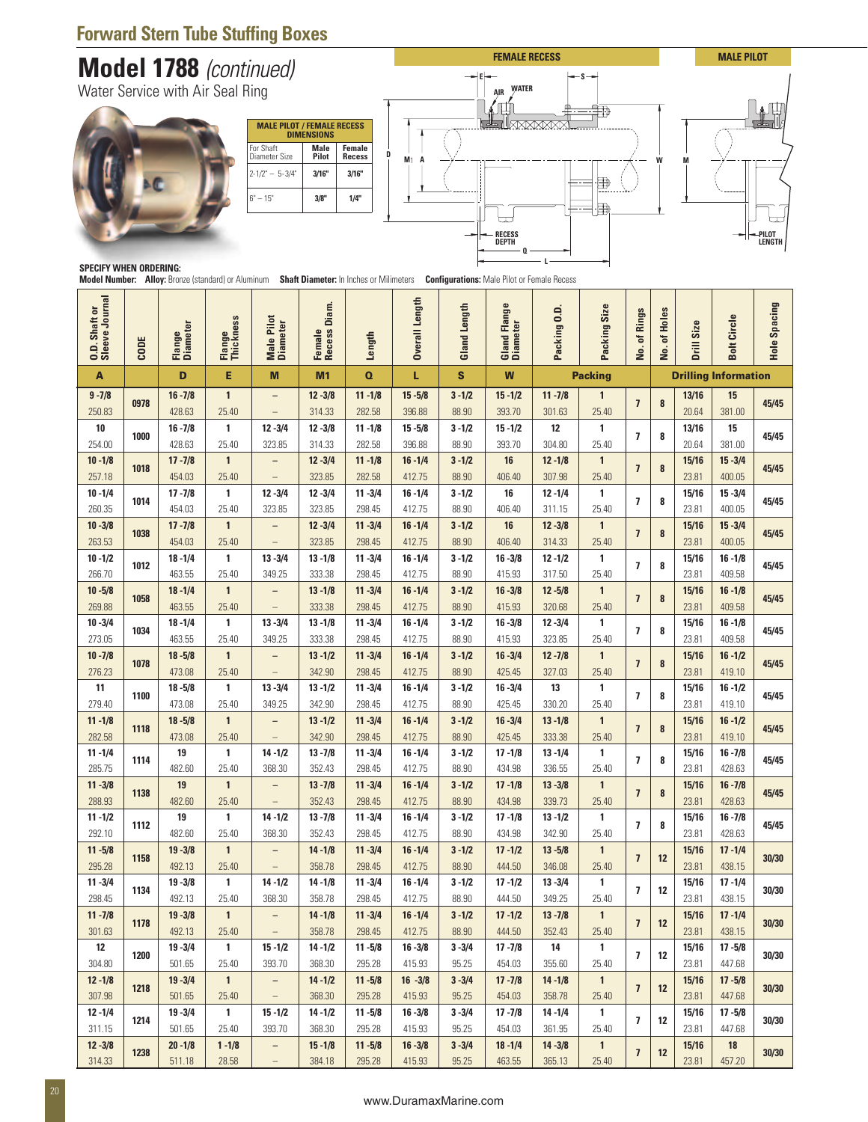## **Forward Stern Tube Stuffing Boxes**

# **Model 1788** (continued)





|                                  |      |                                  |                         | <b>Forward Stern Tube Stuffing Boxes</b><br><b>Model 1788</b> (continued) |                                                                                          |                                                      |                          |                    |                                         |                                                                                                                                                                                                                                                                                                                                                                                                                                                                                                                                                                                                                                                                                                                                                                                                                                                                                                                                                                                                                                                                                                                                                                                                                                                                                                                                                                                                                                                                                                                                                                                                                                                                                                                                                                                                                                                                                                                                                                                                                                                                                                                                                                              |                       |                         |    |                |                      |       |
|----------------------------------|------|----------------------------------|-------------------------|---------------------------------------------------------------------------|------------------------------------------------------------------------------------------|------------------------------------------------------|--------------------------|--------------------|-----------------------------------------|------------------------------------------------------------------------------------------------------------------------------------------------------------------------------------------------------------------------------------------------------------------------------------------------------------------------------------------------------------------------------------------------------------------------------------------------------------------------------------------------------------------------------------------------------------------------------------------------------------------------------------------------------------------------------------------------------------------------------------------------------------------------------------------------------------------------------------------------------------------------------------------------------------------------------------------------------------------------------------------------------------------------------------------------------------------------------------------------------------------------------------------------------------------------------------------------------------------------------------------------------------------------------------------------------------------------------------------------------------------------------------------------------------------------------------------------------------------------------------------------------------------------------------------------------------------------------------------------------------------------------------------------------------------------------------------------------------------------------------------------------------------------------------------------------------------------------------------------------------------------------------------------------------------------------------------------------------------------------------------------------------------------------------------------------------------------------------------------------------------------------------------------------------------------------|-----------------------|-------------------------|----|----------------|----------------------|-------|
|                                  |      | Water Service with Air Seal Ring |                         |                                                                           |                                                                                          |                                                      |                          |                    | <b>AIR</b>                              |                                                                                                                                                                                                                                                                                                                                                                                                                                                                                                                                                                                                                                                                                                                                                                                                                                                                                                                                                                                                                                                                                                                                                                                                                                                                                                                                                                                                                                                                                                                                                                                                                                                                                                                                                                                                                                                                                                                                                                                                                                                                                                                                                                              | Ħ₿                    |                         |    |                |                      |       |
| <b>SPECIFY WHEN ORDERING: --</b> |      |                                  |                         | For Shaft<br>Diameter Size<br>$2 - 1/2" - 5 - 3/4"$<br>$6" - 15"$         | <b>MALE PILOT / FEMALE RECESS</b><br><b>DIMENSIONS</b><br>Male<br>Pilot<br>3/16"<br>3/8" | <b>Female</b><br>D<br><b>Recess</b><br>3/16"<br>1/4" | M <sub>1</sub><br>A      |                    | $\Box$<br><b>RECESS</b><br><b>DEPTH</b> | <b>FEMALE RECESS</b><br><b>MALE PILOT</b><br>۰s<br><b>WATER</b><br>W<br>甲<br>由<br>PILOT<br>LENGTH<br>Model Number: Alloy: Bronze (standard) or Aluminum Shaft Diameter: In Inches or Milimeters Configurations: Male Pilot or Female Recess<br>pacing<br>Flange<br>Size<br>0.D<br>Holes<br>Rings<br>ircle<br>ize<br>ter<br>$\mathbf{r}$<br>5<br>Gland<br>Diame<br>ቴ<br>ቴ<br>S<br>ت<br><u>o</u><br>Packi<br>Packi<br>Hole:<br>Drill<br>Bolt<br>غ.<br>ρġ.<br>W<br><b>Packing</b><br><b>Drilling Information</b><br>$11 - 7/8$<br>13/16<br>$\mathbf{1}$<br>15<br>$\overline{1}$<br>8<br>45/45<br>393.70<br>25.40<br>20.64<br>301.63<br>381.00<br>12<br>1<br>13/16<br>15<br>45/45<br>$\overline{1}$<br>8<br>304.80<br>25.40<br>20.64<br>381.00<br>$12 - 1/8$<br>$\mathbf{1}$<br>15/16<br>$15 - 3/4$<br>16<br>45/45<br>$\overline{1}$<br>8<br>307.98<br>23.81<br>25.40<br>400.05<br>16<br>$12 - 1/4$<br>1<br>15/16<br>$15 - 3/4$<br>$\overline{\phantom{a}}$<br>8<br>45/45<br>23.81<br>400.05<br>25.40<br>311.15<br>16<br>$12 - 3/8$<br>$\mathbf{1}$<br>15/16<br>$15 - 3/4$<br>45/45<br>$\overline{1}$<br>8<br>314.33<br>25.40<br>23.81<br>400.05<br>15/16<br>$16 - 1/8$<br>$12 - 1/2$<br>$\mathbf{1}$<br>8<br>45/45<br>$\overline{1}$<br>317.50<br>25.40<br>23.81<br>409.58<br>$12 - 5/8$<br>$\mathbf{1}$<br>15/16<br>$16 - 1/8$<br>8<br>45/45<br>$\overline{1}$<br>415.93<br>320.68<br>23.81<br>409.58<br>25.40<br>$12 - 3/4$<br>1<br>15/16<br>$16 - 1/8$<br>45/45<br>$\overline{1}$<br>8<br>323.85<br>25.40<br>23.81<br>409.58<br>$12 - 7/8$<br>$\mathbf{1}$<br>15/16<br>$16 - 1/2$<br>45/45<br>$\overline{1}$<br>8<br>327.03<br>25.40<br>23.81<br>419.10<br>$16 - 3/4$<br>13<br>1<br>15/16<br>$16 - 1/2$<br>$\overline{1}$<br>8<br>45/45<br>23.81<br>330.20<br>25.40<br>419.10<br>$16 - 3/4$<br>$13 - 1/8$<br>15/16<br>$16 - 1/2$<br>$\mathbf{1}$<br>$\overline{1}$<br>8<br>45/45<br>333.38<br>23.81<br>25.40<br>419.10<br>$13 - 1/4$<br>$\mathbf{1}$<br>15/16<br>$16 - 7/8$<br>8<br>$\overline{1}$<br>45/45<br>336.55<br>25.40<br>23.81<br>428.63<br>$13 - 3/8$<br>$\mathbf{1}$<br>15/16<br>$16 - 7/8$<br>$\overline{1}$<br>8<br>45/45<br>23.81<br>339.73<br>25.40<br>428.63 |                       |                         |    |                |                      |       |
| Journa<br>ŏ<br>haft<br>O.D. Sha  | CODE | iter<br>Flange<br>Diame          | ess<br>Flange<br>Thickr | Pilot<br><b>Male Pilot</b><br>Diameter                                    | Diam.<br>$\omega$<br>$\bullet$<br>Femal<br>Reces:                                        | Length                                               | Length<br><b>Overall</b> | Length<br>Gland    |                                         |                                                                                                                                                                                                                                                                                                                                                                                                                                                                                                                                                                                                                                                                                                                                                                                                                                                                                                                                                                                                                                                                                                                                                                                                                                                                                                                                                                                                                                                                                                                                                                                                                                                                                                                                                                                                                                                                                                                                                                                                                                                                                                                                                                              |                       |                         |    |                |                      |       |
| A                                |      | D                                | Е                       | M                                                                         | M1                                                                                       | $\mathbf o$                                          | L                        | S                  |                                         |                                                                                                                                                                                                                                                                                                                                                                                                                                                                                                                                                                                                                                                                                                                                                                                                                                                                                                                                                                                                                                                                                                                                                                                                                                                                                                                                                                                                                                                                                                                                                                                                                                                                                                                                                                                                                                                                                                                                                                                                                                                                                                                                                                              |                       |                         |    |                |                      |       |
| $9 - 7/8$<br>250.83              | 0978 | $16 - 7/8$<br>428.63             | $\mathbf{1}$<br>25.40   | $\qquad \qquad -$<br>$\overline{\phantom{m}}$                             | $12 - 3/8$<br>314.33                                                                     | $11 - 1/8$<br>282.58                                 | $15 - 5/8$<br>396.88     | $3 - 1/2$<br>88.90 | $15 - 1/2$                              |                                                                                                                                                                                                                                                                                                                                                                                                                                                                                                                                                                                                                                                                                                                                                                                                                                                                                                                                                                                                                                                                                                                                                                                                                                                                                                                                                                                                                                                                                                                                                                                                                                                                                                                                                                                                                                                                                                                                                                                                                                                                                                                                                                              |                       |                         |    |                |                      |       |
| 10                               | 1000 | $16 - 7/8$                       | 1                       | $12 - 3/4$                                                                | $12 - 3/8$                                                                               | $11 - 1/8$                                           | $15 - 5/8$               | $3 - 1/2$          | $15 - 1/2$                              |                                                                                                                                                                                                                                                                                                                                                                                                                                                                                                                                                                                                                                                                                                                                                                                                                                                                                                                                                                                                                                                                                                                                                                                                                                                                                                                                                                                                                                                                                                                                                                                                                                                                                                                                                                                                                                                                                                                                                                                                                                                                                                                                                                              |                       |                         |    |                |                      |       |
| 254.00<br>$10 - 1/8$             |      | 428.63<br>$17 - 7/8$             | 25.40<br>$\mathbf{1}$   | 323.85<br>$\qquad \qquad -$                                               | 314.33<br>$12 - 3/4$                                                                     | 282.58<br>$11 - 1/8$                                 | 396.88<br>$16 - 1/4$     | 88.90<br>$3 - 1/2$ | 393.70                                  |                                                                                                                                                                                                                                                                                                                                                                                                                                                                                                                                                                                                                                                                                                                                                                                                                                                                                                                                                                                                                                                                                                                                                                                                                                                                                                                                                                                                                                                                                                                                                                                                                                                                                                                                                                                                                                                                                                                                                                                                                                                                                                                                                                              |                       |                         |    |                |                      |       |
| 257.18<br>$10 - 1/4$             | 1018 | 454.03<br>$17 - 7/8$             | 25.40<br>$\mathbf{1}$   | $\overline{\phantom{m}}$<br>$12 - 3/4$                                    | 323.85<br>$12 - 3/4$                                                                     | 282.58<br>$11 - 3/4$                                 | 412.75<br>$16 - 1/4$     | 88.90<br>$3 - 1/2$ | 406.40                                  |                                                                                                                                                                                                                                                                                                                                                                                                                                                                                                                                                                                                                                                                                                                                                                                                                                                                                                                                                                                                                                                                                                                                                                                                                                                                                                                                                                                                                                                                                                                                                                                                                                                                                                                                                                                                                                                                                                                                                                                                                                                                                                                                                                              |                       |                         |    |                |                      |       |
| 260.35                           | 1014 | 454.03                           | 25.40                   | 323.85                                                                    | 323.85                                                                                   | 298.45                                               | 412.75                   | 88.90              | 406.40                                  |                                                                                                                                                                                                                                                                                                                                                                                                                                                                                                                                                                                                                                                                                                                                                                                                                                                                                                                                                                                                                                                                                                                                                                                                                                                                                                                                                                                                                                                                                                                                                                                                                                                                                                                                                                                                                                                                                                                                                                                                                                                                                                                                                                              |                       |                         |    |                |                      |       |
| $10 - 3/8$<br>263.53             | 1038 | $17 - 7/8$<br>454.03             | $\mathbf{1}$<br>25.40   |                                                                           | $12 - 3/4$<br>323.85                                                                     | $11 - 3/4$<br>298.45                                 | $16 - 1/4$<br>412.75     | $3 - 1/2$<br>88.90 | 406.40                                  |                                                                                                                                                                                                                                                                                                                                                                                                                                                                                                                                                                                                                                                                                                                                                                                                                                                                                                                                                                                                                                                                                                                                                                                                                                                                                                                                                                                                                                                                                                                                                                                                                                                                                                                                                                                                                                                                                                                                                                                                                                                                                                                                                                              |                       |                         |    |                |                      |       |
| $10 - 1/2$<br>266.70             | 1012 | $18 - 1/4$<br>463.55             | $\mathbf{1}$<br>25.40   | $13 - 3/4$<br>349.25                                                      | $13 - 1/8$<br>333.38                                                                     | $11 - 3/4$<br>298.45                                 | $16 - 1/4$<br>412.75     | $3 - 1/2$<br>88.90 | $16 - 3/8$<br>415.93                    |                                                                                                                                                                                                                                                                                                                                                                                                                                                                                                                                                                                                                                                                                                                                                                                                                                                                                                                                                                                                                                                                                                                                                                                                                                                                                                                                                                                                                                                                                                                                                                                                                                                                                                                                                                                                                                                                                                                                                                                                                                                                                                                                                                              |                       |                         |    |                |                      |       |
| $10 - 5/8$                       | 1058 | $18 - 1/4$                       | $\mathbf{1}$            | $\qquad \qquad -$                                                         | $13 - 1/8$                                                                               | $11 - 3/4$                                           | $16 - 1/4$               | $3 - 1/2$          | $16 - 3/8$                              |                                                                                                                                                                                                                                                                                                                                                                                                                                                                                                                                                                                                                                                                                                                                                                                                                                                                                                                                                                                                                                                                                                                                                                                                                                                                                                                                                                                                                                                                                                                                                                                                                                                                                                                                                                                                                                                                                                                                                                                                                                                                                                                                                                              |                       |                         |    |                |                      |       |
| 269.88<br>$10 - 3/4$             | 1034 | 463.55<br>$18 - 1/4$             | 25.40<br>1              | $\hspace{0.1mm}-\hspace{0.1mm}$<br>$13 - 3/4$                             | 333.38<br>$13 - 1/8$                                                                     | 298.45<br>$11 - 3/4$                                 | 412.75<br>$16 - 1/4$     | 88.90<br>$3 - 1/2$ | $16 - 3/8$                              |                                                                                                                                                                                                                                                                                                                                                                                                                                                                                                                                                                                                                                                                                                                                                                                                                                                                                                                                                                                                                                                                                                                                                                                                                                                                                                                                                                                                                                                                                                                                                                                                                                                                                                                                                                                                                                                                                                                                                                                                                                                                                                                                                                              |                       |                         |    |                |                      |       |
|                                  |      | 463.55<br>$18 - 5/8$             | 25.40<br>$\mathbf{1}$   | 349.25<br>$\overline{\phantom{a}}$                                        | 333.38<br>$13 - 1/2$                                                                     | 298.45<br>$11 - 3/4$                                 | 412.75<br>$16 - 1/4$     | 88.90<br>$3 - 1/2$ | 415.93<br>$16 - 3/4$                    |                                                                                                                                                                                                                                                                                                                                                                                                                                                                                                                                                                                                                                                                                                                                                                                                                                                                                                                                                                                                                                                                                                                                                                                                                                                                                                                                                                                                                                                                                                                                                                                                                                                                                                                                                                                                                                                                                                                                                                                                                                                                                                                                                                              |                       |                         |    |                |                      |       |
| 273.05<br>$10 - 7/8$             | 1078 | 473.08                           | 25.40<br>$\mathbf{1}$   | $\overline{\phantom{m}}$<br>$13 - 3/4$                                    | 342.90<br>$13 - 1/2$                                                                     | 298.45<br>$11 - 3/4$                                 | 412.75<br>$16 - 1/4$     | 88.90<br>$3 - 1/2$ | 425.45                                  |                                                                                                                                                                                                                                                                                                                                                                                                                                                                                                                                                                                                                                                                                                                                                                                                                                                                                                                                                                                                                                                                                                                                                                                                                                                                                                                                                                                                                                                                                                                                                                                                                                                                                                                                                                                                                                                                                                                                                                                                                                                                                                                                                                              |                       |                         |    |                |                      |       |
| 276.23                           |      |                                  |                         |                                                                           |                                                                                          | 298.45                                               | 412.75                   | 88.90              | 425.45                                  |                                                                                                                                                                                                                                                                                                                                                                                                                                                                                                                                                                                                                                                                                                                                                                                                                                                                                                                                                                                                                                                                                                                                                                                                                                                                                                                                                                                                                                                                                                                                                                                                                                                                                                                                                                                                                                                                                                                                                                                                                                                                                                                                                                              |                       |                         |    |                |                      |       |
| 11<br>279.40                     | 1100 | $18 - 5/8$<br>473.08             | 25.40                   | 349.25                                                                    | 342.90                                                                                   |                                                      |                          |                    |                                         |                                                                                                                                                                                                                                                                                                                                                                                                                                                                                                                                                                                                                                                                                                                                                                                                                                                                                                                                                                                                                                                                                                                                                                                                                                                                                                                                                                                                                                                                                                                                                                                                                                                                                                                                                                                                                                                                                                                                                                                                                                                                                                                                                                              |                       |                         |    |                |                      |       |
| $11 - 1/8$<br>282.58             | 1118 | $18 - 5/8$<br>473.08             | $\mathbf{1}$<br>25.40   | $\overline{\phantom{a}}$                                                  | $13 - 1/2$<br>342.90                                                                     | $11 - 3/4$<br>298.45                                 | $16 - 1/4$<br>412.75     | $3 - 1/2$<br>88.90 | 425.45                                  |                                                                                                                                                                                                                                                                                                                                                                                                                                                                                                                                                                                                                                                                                                                                                                                                                                                                                                                                                                                                                                                                                                                                                                                                                                                                                                                                                                                                                                                                                                                                                                                                                                                                                                                                                                                                                                                                                                                                                                                                                                                                                                                                                                              |                       |                         |    |                |                      |       |
| $11 - 1/4$                       | 1114 | 19<br>482.60                     | 1<br>25.40              | $14 - 1/2$                                                                | $13 - 7/8$                                                                               | $11 - 3/4$                                           | $16 - 1/4$               | $3 - 1/2$          | $17 - 1/8$                              |                                                                                                                                                                                                                                                                                                                                                                                                                                                                                                                                                                                                                                                                                                                                                                                                                                                                                                                                                                                                                                                                                                                                                                                                                                                                                                                                                                                                                                                                                                                                                                                                                                                                                                                                                                                                                                                                                                                                                                                                                                                                                                                                                                              |                       |                         |    |                |                      |       |
| 285.75<br>$11 - 3/8$             | 1138 | 19                               | $\mathbf{1}$            | 368.30<br>-                                                               | 352.43<br>$13 - 7/8$                                                                     | 298.45<br>$11 - 3/4$                                 | 412.75<br>$16 - 1/4$     | 88.90<br>$3 - 1/2$ | 434.98<br>$17 - 1/8$                    |                                                                                                                                                                                                                                                                                                                                                                                                                                                                                                                                                                                                                                                                                                                                                                                                                                                                                                                                                                                                                                                                                                                                                                                                                                                                                                                                                                                                                                                                                                                                                                                                                                                                                                                                                                                                                                                                                                                                                                                                                                                                                                                                                                              |                       |                         |    |                |                      |       |
| 288.93<br>$11 - 1/2$             | 1112 | 482.60<br>19                     | 25.40<br>1              | $\overline{\phantom{m}}$<br>$14 - 1/2$                                    | 352.43<br>$13 - 7/8$                                                                     | 298.45<br>$11 - 3/4$                                 | 412.75<br>$16 - 1/4$     | 88.90<br>$3 - 1/2$ | 434.98<br>$17 - 1/8$                    | $13 - 1/2$                                                                                                                                                                                                                                                                                                                                                                                                                                                                                                                                                                                                                                                                                                                                                                                                                                                                                                                                                                                                                                                                                                                                                                                                                                                                                                                                                                                                                                                                                                                                                                                                                                                                                                                                                                                                                                                                                                                                                                                                                                                                                                                                                                   | $\mathbf{1}$          | $\overline{1}$          | 8  | 15/16          | $16 - 7/8$           | 45/45 |
| 292.10<br>$11 - 5/8$             |      | 482.60<br>$19 - 3/8$             | 25.40<br>$\mathbf{1}$   | 368.30                                                                    | 352.43<br>$14 - 1/8$                                                                     | 298.45<br>$11 - 3/4$                                 | 412.75<br>$16 - 1/4$     | 88.90<br>$3 - 1/2$ | 434.98<br>$17 - 1/2$                    | 342.90<br>$13 - 5/8$                                                                                                                                                                                                                                                                                                                                                                                                                                                                                                                                                                                                                                                                                                                                                                                                                                                                                                                                                                                                                                                                                                                                                                                                                                                                                                                                                                                                                                                                                                                                                                                                                                                                                                                                                                                                                                                                                                                                                                                                                                                                                                                                                         | 25.40<br>$\mathbf{1}$ |                         |    | 23.81<br>15/16 | 428.63<br>$17 - 1/4$ |       |
| 295.28<br>$11 - 3/4$             | 1158 | 492.13<br>$19 - 3/8$             | 25.40<br>1              | $14 - 1/2$                                                                | 358.78<br>$14 - 1/8$                                                                     | 298.45<br>$11 - 3/4$                                 | 412.75<br>$16 - 1/4$     | 88.90<br>$3 - 1/2$ | 444.50<br>$17 - 1/2$                    | 346.08<br>$13 - 3/4$                                                                                                                                                                                                                                                                                                                                                                                                                                                                                                                                                                                                                                                                                                                                                                                                                                                                                                                                                                                                                                                                                                                                                                                                                                                                                                                                                                                                                                                                                                                                                                                                                                                                                                                                                                                                                                                                                                                                                                                                                                                                                                                                                         | 25.40<br>$\mathbf{1}$ | $\overline{1}$          | 12 | 23.81<br>15/16 | 438.15<br>$17 - 1/4$ | 30/30 |
| 298.45                           | 1134 | 492.13                           | 25.40                   | 368.30                                                                    | 358.78                                                                                   | 298.45                                               | 412.75                   | 88.90              | 444.50                                  | 349.25                                                                                                                                                                                                                                                                                                                                                                                                                                                                                                                                                                                                                                                                                                                                                                                                                                                                                                                                                                                                                                                                                                                                                                                                                                                                                                                                                                                                                                                                                                                                                                                                                                                                                                                                                                                                                                                                                                                                                                                                                                                                                                                                                                       | 25.40                 | $\overline{1}$          | 12 | 23.81          | 438.15               | 30/30 |
| $11 - 7/8$<br>301.63             | 1178 | $19 - 3/8$<br>492.13             | $\mathbf{1}$<br>25.40   | $\qquad \qquad -$<br>$\equiv$                                             | $14 - 1/8$<br>358.78                                                                     | $11 - 3/4$<br>298.45                                 | $16 - 1/4$<br>412.75     | $3 - 1/2$<br>88.90 | $17 - 1/2$<br>444.50                    | $13 - 7/8$<br>352.43                                                                                                                                                                                                                                                                                                                                                                                                                                                                                                                                                                                                                                                                                                                                                                                                                                                                                                                                                                                                                                                                                                                                                                                                                                                                                                                                                                                                                                                                                                                                                                                                                                                                                                                                                                                                                                                                                                                                                                                                                                                                                                                                                         | $\mathbf{1}$<br>25.40 | $\overline{1}$          | 12 | 15/16<br>23.81 | $17 - 1/4$<br>438.15 | 30/30 |
| 12<br>304.80                     | 1200 | $19 - 3/4$<br>501.65             | 1<br>25.40              | $15 - 1/2$<br>393.70                                                      | $14 - 1/2$<br>368.30                                                                     | $11 - 5/8$<br>295.28                                 | $16 - 3/8$<br>415.93     | $3 - 3/4$<br>95.25 | $17 - 7/8$<br>454.03                    | 14<br>355.60                                                                                                                                                                                                                                                                                                                                                                                                                                                                                                                                                                                                                                                                                                                                                                                                                                                                                                                                                                                                                                                                                                                                                                                                                                                                                                                                                                                                                                                                                                                                                                                                                                                                                                                                                                                                                                                                                                                                                                                                                                                                                                                                                                 | $\mathbf{1}$<br>25.40 | $\overline{1}$          | 12 | 15/16<br>23.81 | $17 - 5/8$<br>447.68 | 30/30 |
| $12 - 1/8$                       | 1218 | $19 - 3/4$                       | $\mathbf{1}$            | $\overline{\phantom{a}}$                                                  | $14 - 1/2$                                                                               | $11 - 5/8$                                           | $16 - 3/8$               | $3 - 3/4$          | $17 - 7/8$                              | $14 - 1/8$                                                                                                                                                                                                                                                                                                                                                                                                                                                                                                                                                                                                                                                                                                                                                                                                                                                                                                                                                                                                                                                                                                                                                                                                                                                                                                                                                                                                                                                                                                                                                                                                                                                                                                                                                                                                                                                                                                                                                                                                                                                                                                                                                                   | $\mathbf{1}$          | $\overline{7}$          | 12 | 15/16          | $17 - 5/8$           | 30/30 |
| 307.98<br>$12 - 1/4$             | 1214 | 501.65<br>$19 - 3/4$             | 25.40<br>$\mathbf{1}$   | $\overline{\phantom{0}}$<br>$15 - 1/2$                                    | 368.30<br>$14 - 1/2$                                                                     | 295.28<br>$11 - 5/8$                                 | 415.93<br>$16 - 3/8$     | 95.25<br>$3 - 3/4$ | 454.03<br>$17 - 7/8$                    | 358.78<br>$14 - 1/4$                                                                                                                                                                                                                                                                                                                                                                                                                                                                                                                                                                                                                                                                                                                                                                                                                                                                                                                                                                                                                                                                                                                                                                                                                                                                                                                                                                                                                                                                                                                                                                                                                                                                                                                                                                                                                                                                                                                                                                                                                                                                                                                                                         | 25.40<br>$\mathbf{1}$ | $\overline{7}$          | 12 | 23.81<br>15/16 | 447.68<br>$17 - 5/8$ | 30/30 |
| 311.15<br>$12 - 3/8$             | 1238 | 501.65<br>$20 - 1/8$             | 25.40<br>$1 - 1/8$      | 393.70<br>$\overline{\phantom{a}}$                                        | 368.30<br>$15 - 1/8$                                                                     | 295.28<br>$11 - 5/8$                                 | 415.93<br>$16 - 3/8$     | 95.25<br>$3 - 3/4$ | 454.03<br>$18 - 1/4$                    | 361.95<br>$14 - 3/8$                                                                                                                                                                                                                                                                                                                                                                                                                                                                                                                                                                                                                                                                                                                                                                                                                                                                                                                                                                                                                                                                                                                                                                                                                                                                                                                                                                                                                                                                                                                                                                                                                                                                                                                                                                                                                                                                                                                                                                                                                                                                                                                                                         | 25.40<br>$\mathbf{1}$ | $\overline{\mathbf{z}}$ | 12 | 23.81<br>15/16 | 447.68<br>18         | 30/30 |